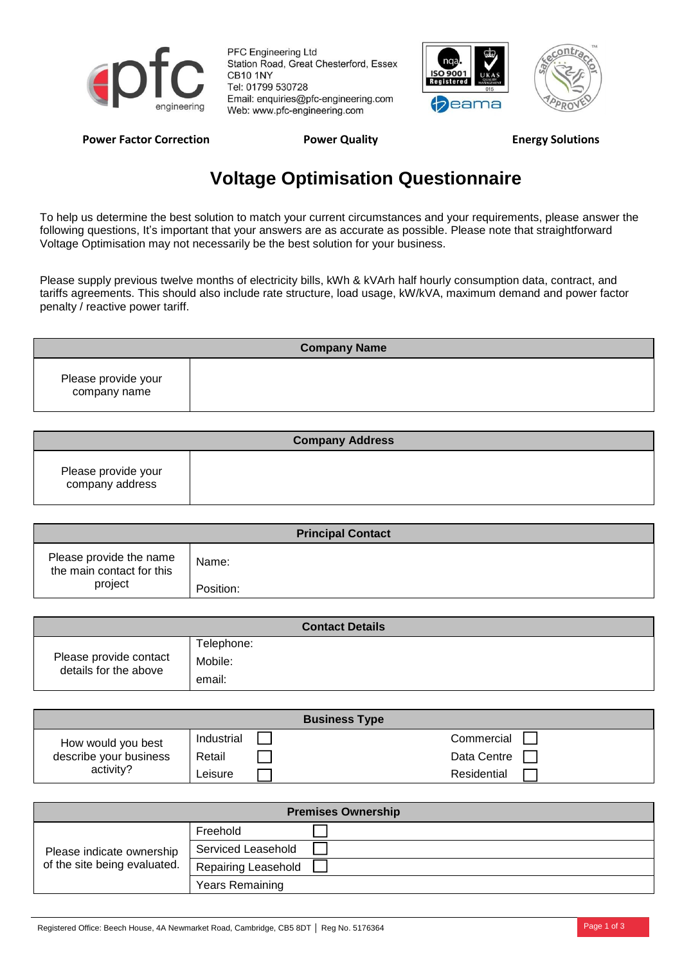

PFC Engineering Ltd Station Road, Great Chesterford, Essex **CB10 1NY** Tel: 01799 530728 Email: enquiries@pfc-engineering.com Web: www.pfc-engineering.com





## Power Factor Correction **Power Quality Power Cuality Energy Solutions**

## **Voltage Optimisation Questionnaire**

To help us determine the best solution to match your current circumstances and your requirements, please answer the following questions, It's important that your answers are as accurate as possible. Please note that straightforward Voltage Optimisation may not necessarily be the best solution for your business.

Please supply previous twelve months of electricity bills, kWh & kVArh half hourly consumption data, contract, and tariffs agreements. This should also include rate structure, load usage, kW/kVA, maximum demand and power factor penalty / reactive power tariff.

| <b>Company Name</b>                 |  |  |  |
|-------------------------------------|--|--|--|
| Please provide your<br>company name |  |  |  |

| <b>Company Address</b>                 |  |  |  |
|----------------------------------------|--|--|--|
| Please provide your<br>company address |  |  |  |

| <b>Principal Contact</b>                             |           |  |  |
|------------------------------------------------------|-----------|--|--|
| Please provide the name<br>the main contact for this | Name:     |  |  |
| project                                              | Position: |  |  |

| <b>Contact Details</b>                          |                                 |  |  |
|-------------------------------------------------|---------------------------------|--|--|
| Please provide contact<br>details for the above | Telephone:<br>Mobile:<br>email: |  |  |

| <b>Business Type</b>                                      |            |  |             |  |
|-----------------------------------------------------------|------------|--|-------------|--|
| How would you best<br>describe your business<br>activity? | Industrial |  | Commercial  |  |
|                                                           | Retail     |  | Data Centre |  |
|                                                           | ∟eisure    |  | Residential |  |

| <b>Premises Ownership</b>                                 |                           |  |  |
|-----------------------------------------------------------|---------------------------|--|--|
| Please indicate ownership<br>of the site being evaluated. | Freehold                  |  |  |
|                                                           | <b>Serviced Leasehold</b> |  |  |
|                                                           | Repairing Leasehold       |  |  |
|                                                           | <b>Years Remaining</b>    |  |  |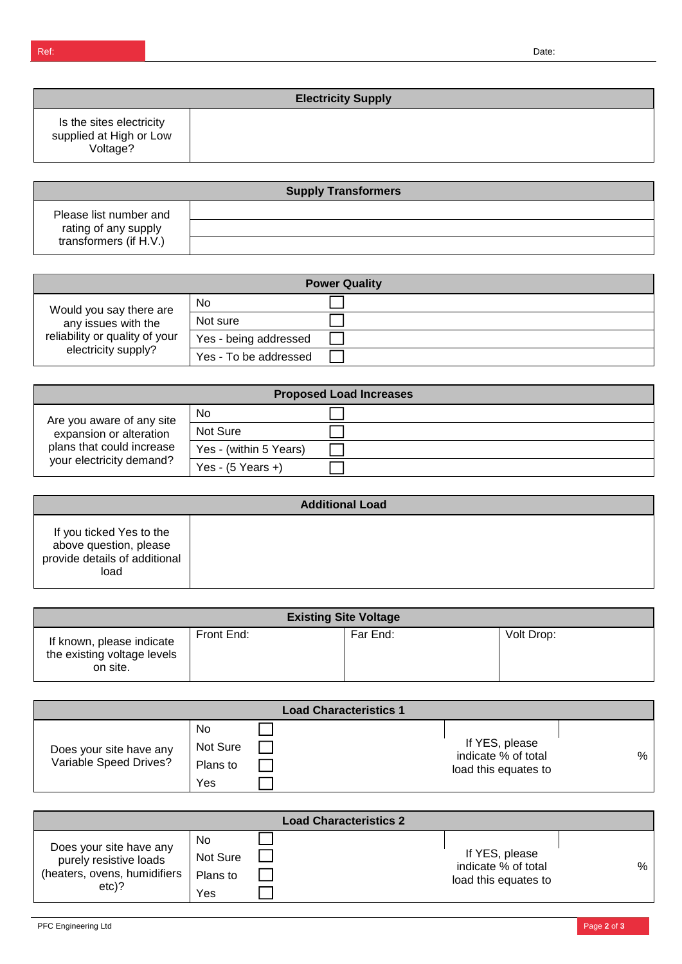|                                                                 | <b>Electricity Supply</b> |  |  |  |
|-----------------------------------------------------------------|---------------------------|--|--|--|
| Is the sites electricity<br>supplied at High or Low<br>Voltage? |                           |  |  |  |

| <b>Supply Transformers</b>                                               |  |  |  |
|--------------------------------------------------------------------------|--|--|--|
| Please list number and<br>rating of any supply<br>transformers (if H.V.) |  |  |  |
|                                                                          |  |  |  |
|                                                                          |  |  |  |

| <b>Power Quality</b>                                                                                    |                       |  |  |
|---------------------------------------------------------------------------------------------------------|-----------------------|--|--|
| Would you say there are<br>any issues with the<br>reliability or quality of your<br>electricity supply? | No.                   |  |  |
|                                                                                                         | Not sure              |  |  |
|                                                                                                         | Yes - being addressed |  |  |
|                                                                                                         | Yes - To be addressed |  |  |

| <b>Proposed Load Increases</b>                                                                                |                        |  |  |
|---------------------------------------------------------------------------------------------------------------|------------------------|--|--|
| Are you aware of any site<br>expansion or alteration<br>plans that could increase<br>your electricity demand? | No                     |  |  |
|                                                                                                               | Not Sure               |  |  |
|                                                                                                               | Yes - (within 5 Years) |  |  |
|                                                                                                               | Yes - $(5$ Years +)    |  |  |

| <b>Additional Load</b>                                                                      |  |  |  |
|---------------------------------------------------------------------------------------------|--|--|--|
| If you ticked Yes to the<br>above question, please<br>provide details of additional<br>load |  |  |  |

| <b>Existing Site Voltage</b>                                         |            |          |            |
|----------------------------------------------------------------------|------------|----------|------------|
| If known, please indicate<br>the existing voltage levels<br>on site. | Front End: | Far End: | Volt Drop: |

|                                                   |                                   | <b>Load Characteristics 1</b> |                                                               |   |
|---------------------------------------------------|-----------------------------------|-------------------------------|---------------------------------------------------------------|---|
| Does your site have any<br>Variable Speed Drives? | No<br>Not Sure<br>Plans to<br>Yes |                               | If YES, please<br>indicate % of total<br>load this equates to | % |

| <b>Load Characteristics 2</b>                                                                |                                   |  |                                                               |   |
|----------------------------------------------------------------------------------------------|-----------------------------------|--|---------------------------------------------------------------|---|
| Does your site have any<br>purely resistive loads<br>(heaters, ovens, humidifiers<br>$etc$ ? | No<br>Not Sure<br>Plans to<br>Yes |  | If YES, please<br>indicate % of total<br>load this equates to | % |